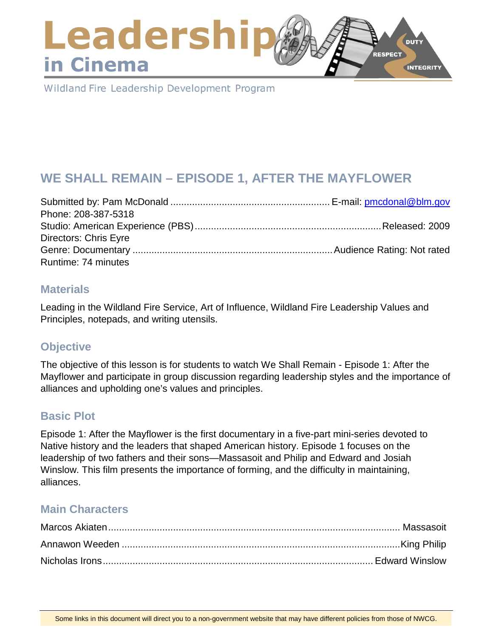# Leadershi **DUTY RESPECT** in Cinema **INTEGRITY**

Wildland Fire Leadership Development Program

# **WE SHALL REMAIN – EPISODE 1, AFTER THE MAYFLOWER**

| Phone: 208-387-5318          |  |
|------------------------------|--|
|                              |  |
| <b>Directors: Chris Eyre</b> |  |
|                              |  |
| Runtime: 74 minutes          |  |

### **Materials**

Leading in the Wildland Fire Service, Art of Influence, Wildland Fire Leadership Values and Principles, notepads, and writing utensils.

# **Objective**

The objective of this lesson is for students to watch We Shall Remain - Episode 1: After the Mayflower and participate in group discussion regarding leadership styles and the importance of alliances and upholding one's values and principles.

# **Basic Plot**

Episode 1: After the Mayflower is the first documentary in a five-part mini-series devoted to Native history and the leaders that shaped American history. Episode 1 focuses on the leadership of two fathers and their sons—Massasoit and Philip and Edward and Josiah Winslow. This film presents the importance of forming, and the difficulty in maintaining, alliances.

# **Main Characters**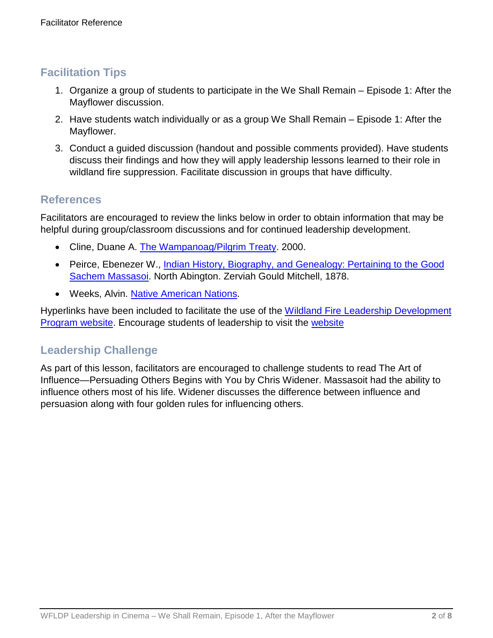# **Facilitation Tips**

- 1. Organize a group of students to participate in the We Shall Remain Episode 1: After the Mayflower discussion.
- 2. Have students watch individually or as a group We Shall Remain Episode 1: After the Mayflower.
- 3. Conduct a guided discussion (handout and possible comments provided). Have students discuss their findings and how they will apply leadership lessons learned to their role in wildland fire suppression. Facilitate discussion in groups that have difficulty.

### **References**

Facilitators are encouraged to review the links below in order to obtain information that may be helpful during group/classroom discussions and for continued leadership development.

- Cline, Duane A. [The Wampanoag/Pilgrim Treaty.](http://www.rootsweb.ancestry.com/%7Emosmd/peacetreaty.htm) 2000.
- Peirce, Ebenezer W., [Indian History, Biography, and Genealogy: Pertaining to the Good](https://archive.org/stream/indianhistorybio00peir/indianhistorybio00peir_djvu.txt)  [Sachem Massasoi.](https://archive.org/stream/indianhistorybio00peir/indianhistorybio00peir_djvu.txt) North Abington. Zerviah Gould Mitchell, 1878.
- Weeks, Alvin. [Native American Nations.](http://www.nanations.com/massasoit/)

Hyperlinks have been included to facilitate the use of the [Wildland Fire Leadership Development](https://www.fireleadership.gov/)  **[Program website.](https://www.fireleadership.gov/)** Encourage students of leadership to visit the [website](https://www.fireleadership.gov/)

# **Leadership Challenge**

As part of this lesson, facilitators are encouraged to challenge students to read The Art of Influence—Persuading Others Begins with You by Chris Widener. Massasoit had the ability to influence others most of his life. Widener discusses the difference between influence and persuasion along with four golden rules for influencing others.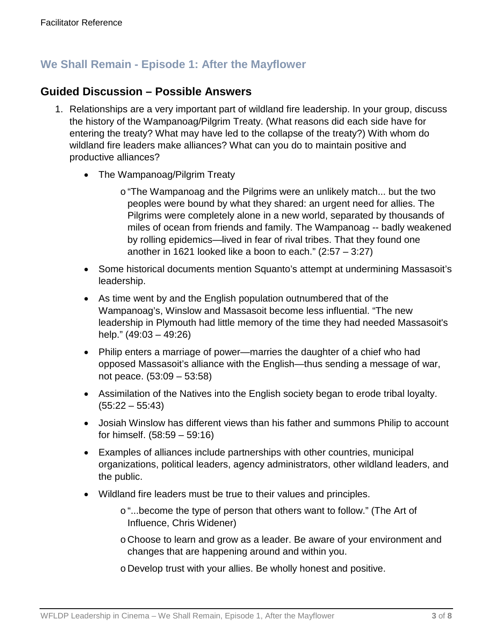### **We Shall Remain - Episode 1: After the Mayflower**

### **Guided Discussion – Possible Answers**

- 1. Relationships are a very important part of wildland fire leadership. In your group, discuss the history of the Wampanoag/Pilgrim Treaty. (What reasons did each side have for entering the treaty? What may have led to the collapse of the treaty?) With whom do wildland fire leaders make alliances? What can you do to maintain positive and productive alliances?
	- The Wampanoag/Pilgrim Treaty
		- o "The Wampanoag and the Pilgrims were an unlikely match... but the two peoples were bound by what they shared: an urgent need for allies. The Pilgrims were completely alone in a new world, separated by thousands of miles of ocean from friends and family. The Wampanoag -- badly weakened by rolling epidemics—lived in fear of rival tribes. That they found one another in 1621 looked like a boon to each." (2:57 – 3:27)
	- Some historical documents mention Squanto's attempt at undermining Massasoit's leadership.
	- As time went by and the English population outnumbered that of the Wampanoag's, Winslow and Massasoit become less influential. "The new leadership in Plymouth had little memory of the time they had needed Massasoit's help." (49:03 – 49:26)
	- Philip enters a marriage of power—marries the daughter of a chief who had opposed Massasoit's alliance with the English—thus sending a message of war, not peace. (53:09 – 53:58)
	- Assimilation of the Natives into the English society began to erode tribal loyalty.  $(55:22 - 55:43)$
	- Josiah Winslow has different views than his father and summons Philip to account for himself. (58:59 – 59:16)
	- Examples of alliances include partnerships with other countries, municipal organizations, political leaders, agency administrators, other wildland leaders, and the public.
	- Wildland fire leaders must be true to their values and principles.
		- o"...become the type of person that others want to follow." (The Art of Influence, Chris Widener)
		- o Choose to learn and grow as a leader. Be aware of your environment and changes that are happening around and within you.
		- o Develop trust with your allies. Be wholly honest and positive.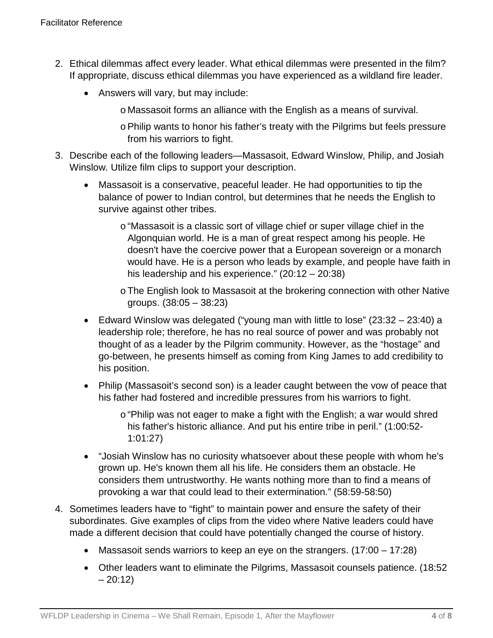- 2. Ethical dilemmas affect every leader. What ethical dilemmas were presented in the film? If appropriate, discuss ethical dilemmas you have experienced as a wildland fire leader.
	- Answers will vary, but may include:
		- o Massasoit forms an alliance with the English as a means of survival.
		- oPhilip wants to honor his father's treaty with the Pilgrims but feels pressure from his warriors to fight.
- 3. Describe each of the following leaders—Massasoit, Edward Winslow, Philip, and Josiah Winslow. Utilize film clips to support your description.
	- Massasoit is a conservative, peaceful leader. He had opportunities to tip the balance of power to Indian control, but determines that he needs the English to survive against other tribes.
		- o "Massasoit is a classic sort of village chief or super village chief in the Algonquian world. He is a man of great respect among his people. He doesn't have the coercive power that a European sovereign or a monarch would have. He is a person who leads by example, and people have faith in his leadership and his experience." (20:12 – 20:38)
		- oThe English look to Massasoit at the brokering connection with other Native groups. (38:05 – 38:23)
	- Edward Winslow was delegated ("young man with little to lose" (23:32 23:40) a leadership role; therefore, he has no real source of power and was probably not thought of as a leader by the Pilgrim community. However, as the "hostage" and go-between, he presents himself as coming from King James to add credibility to his position.
	- Philip (Massasoit's second son) is a leader caught between the vow of peace that his father had fostered and incredible pressures from his warriors to fight.
		- o "Philip was not eager to make a fight with the English; a war would shred his father's historic alliance. And put his entire tribe in peril." (1:00:52- 1:01:27)
	- "Josiah Winslow has no curiosity whatsoever about these people with whom he's grown up. He's known them all his life. He considers them an obstacle. He considers them untrustworthy. He wants nothing more than to find a means of provoking a war that could lead to their extermination." (58:59-58:50)
- 4. Sometimes leaders have to "fight" to maintain power and ensure the safety of their subordinates. Give examples of clips from the video where Native leaders could have made a different decision that could have potentially changed the course of history.
	- Massasoit sends warriors to keep an eye on the strangers. (17:00 17:28)
	- Other leaders want to eliminate the Pilgrims, Massasoit counsels patience. (18:52  $-20:12)$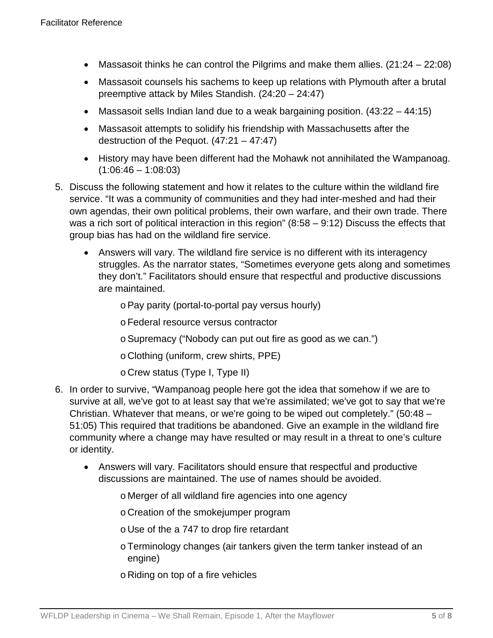- Massasoit thinks he can control the Pilgrims and make them allies. (21:24 22:08)
- Massasoit counsels his sachems to keep up relations with Plymouth after a brutal preemptive attack by Miles Standish. (24:20 – 24:47)
- Massasoit sells Indian land due to a weak bargaining position.  $(43:22 44:15)$
- Massasoit attempts to solidify his friendship with Massachusetts after the destruction of the Pequot. (47:21 – 47:47)
- History may have been different had the Mohawk not annihilated the Wampanoag.  $(1:06:46 - 1:08:03)$
- 5. Discuss the following statement and how it relates to the culture within the wildland fire service. "It was a community of communities and they had inter-meshed and had their own agendas, their own political problems, their own warfare, and their own trade. There was a rich sort of political interaction in this region" (8:58 – 9:12) Discuss the effects that group bias has had on the wildland fire service.
	- Answers will vary. The wildland fire service is no different with its interagency struggles. As the narrator states, "Sometimes everyone gets along and sometimes they don't." Facilitators should ensure that respectful and productive discussions are maintained.

oPay parity (portal-to-portal pay versus hourly)

oFederal resource versus contractor

oSupremacy ("Nobody can put out fire as good as we can.")

o Clothing (uniform, crew shirts, PPE)

o Crew status (Type I, Type II)

- 6. In order to survive, "Wampanoag people here got the idea that somehow if we are to survive at all, we've got to at least say that we're assimilated; we've got to say that we're Christian. Whatever that means, or we're going to be wiped out completely." (50:48 – 51:05) This required that traditions be abandoned. Give an example in the wildland fire community where a change may have resulted or may result in a threat to one's culture or identity.
	- Answers will vary. Facilitators should ensure that respectful and productive discussions are maintained. The use of names should be avoided.

o Merger of all wildland fire agencies into one agency

o Creation of the smokejumper program

o Use of the a 747 to drop fire retardant

- oTerminology changes (air tankers given the term tanker instead of an engine)
- o Riding on top of a fire vehicles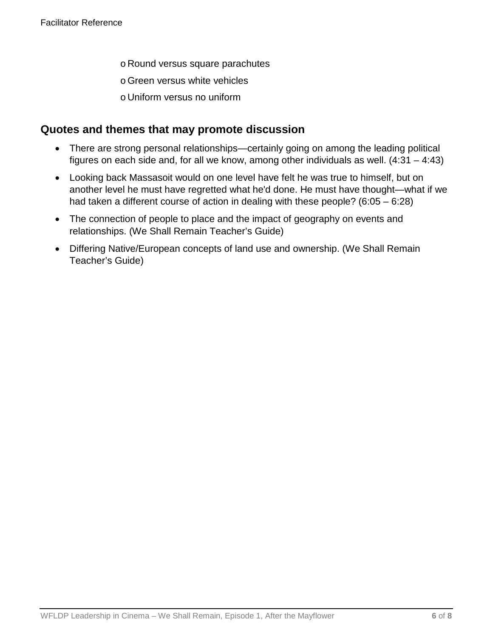- o Round versus square parachutes
- oGreen versus white vehicles
- o Uniform versus no uniform

### **Quotes and themes that may promote discussion**

- There are strong personal relationships—certainly going on among the leading political figures on each side and, for all we know, among other individuals as well. (4:31 – 4:43)
- Looking back Massasoit would on one level have felt he was true to himself, but on another level he must have regretted what he'd done. He must have thought—what if we had taken a different course of action in dealing with these people? (6:05 – 6:28)
- The connection of people to place and the impact of geography on events and relationships. (We Shall Remain Teacher's Guide)
- Differing Native/European concepts of land use and ownership. (We Shall Remain Teacher's Guide)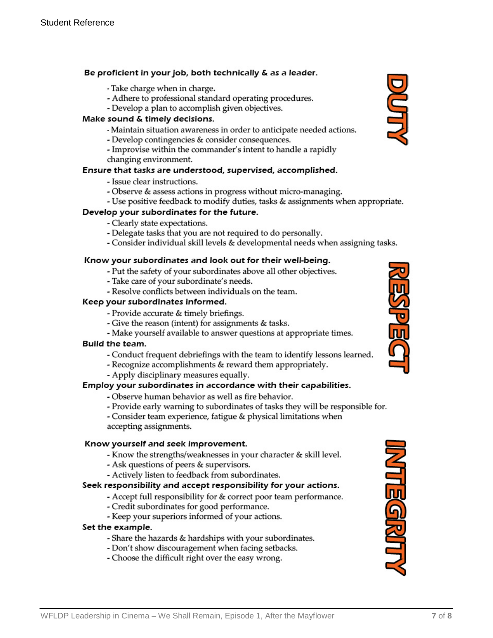#### Be proficient in your job, both technically & as a leader.

- Take charge when in charge.
- Adhere to professional standard operating procedures.
- Develop a plan to accomplish given objectives.

#### Make sound & timely decisions.

- Maintain situation awareness in order to anticipate needed actions.
- Develop contingencies & consider consequences.
- Improvise within the commander's intent to handle a rapidly changing environment.

#### Ensure that tasks are understood, supervised, accomplished.

- Issue clear instructions.
- Observe & assess actions in progress without micro-managing.
- Use positive feedback to modify duties, tasks & assignments when appropriate.

#### Develop your subordinates for the future.

- Clearly state expectations.
- Delegate tasks that you are not required to do personally.
- Consider individual skill levels & developmental needs when assigning tasks.

#### Know your subordinates and look out for their well-being.

- Put the safety of your subordinates above all other objectives.
- Take care of your subordinate's needs.
- Resolve conflicts between individuals on the team.

#### Keep your subordinates informed.

- Provide accurate & timely briefings.
- Give the reason (intent) for assignments & tasks.
- Make yourself available to answer questions at appropriate times.

#### Build the team.

- Conduct frequent debriefings with the team to identify lessons learned.
- Recognize accomplishments & reward them appropriately.
- Apply disciplinary measures equally.

#### Employ your subordinates in accordance with their capabilities.

- Observe human behavior as well as fire behavior.
- Provide early warning to subordinates of tasks they will be responsible for.
- Consider team experience, fatigue & physical limitations when accepting assignments.

#### Know yourself and seek improvement.

- Know the strengths/weaknesses in your character & skill level.
- Ask questions of peers & supervisors.
- Actively listen to feedback from subordinates.

#### Seek responsibility and accept responsibility for your actions.

- Accept full responsibility for & correct poor team performance.
- Credit subordinates for good performance.
- Keep your superiors informed of your actions.

#### Set the example.

- Share the hazards & hardships with your subordinates.
- Don't show discouragement when facing setbacks.
- Choose the difficult right over the easy wrong.